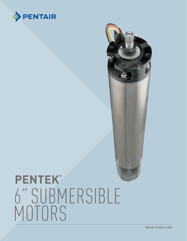



# **PENTEK®** 6" SUBMERSIBLE<br>MOTORS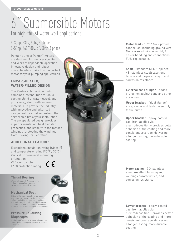## 6˝Submersible Motors For high-thrust water well applications

#### 5-30hp, 230V, 60hz, 3 phase 5-50hp, 460/380V, 60/50hz, 3 phase

Pentair's line of Pentek® motors are designed for long service life and years of dependable operation. Innovative design and robust characteristics make this the perfect motor for your pumping applications.

#### **ENCAPSULATED, WATER-FILLED DESIGN**

The Pentek submersible motor combines internal lubrication (a cooling blend of water, glycol, and propylene), along with superior materials, to provide the industry with innovative and advanced design features that will extend the serviceable life of your installation. The encapsulated design provides superior insulation, heat transfer properties, and stability to the motor's windings (protecting the windings from "flexing" or "vibration").

#### **ADDITIONAL FEATURES**

Exceptional insulation rating (Class F) and temperature rating (95°F / 35°C) Vertical or horizontal mounting orientation VFD-compatible  $\epsilon$ IP 68 protection rating

#### **Thrust Bearing**

Water lubricated, Kingsbury-Type – industry-accepted standard fo thrust bearing construction.

#### **Mechanical Seal**

Silicone Carbide – excellent abrasion, wear, and corrosion resistance; resists deflection in high-pressure, high heat,<br>and high-speed conditions; high thermal<br>conductivity (heat dissipation). Provides<br>superior protection against sand intrusion.

#### **Pressure Equalizing Diaphragm**

Minimizes expansion pressure inside the motor due to changes in temperature and pressure.



**Motor lead** – 157" / 4m – potted connection, including ground wire. Non-jacketed wire assembly for easier handling and connections. Fully replaceable.

**Shaft** – standard NEMA-splined, 431 stainless steel; excellent tensile and torque strength, and corrosion resistance

**External sand slinger** – added protection against sand and other abrasives

**Upper bracket** – "dual-flange" style; easier and faster assembly to the pump

**Upper bracket** – epoxy-coated cast iron; applied via electrodeposition – provides better adhesion of the coating and more consistent coverage, delivering a longer lasting, more durable coating

**Motor casing** – 304 stainless steel; excellent forming and welding characteristics, and corrosion resistance

**Lower bracket** – epoxy-coated cast iron; applied via electrodeposition – provides better adhesion of the coating and more consistent coverage, delivering a longer lasting, more durable coating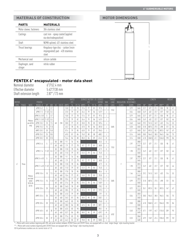#### **MATERIALS OF CONSTRUCTION**

| <b>PARTS</b>               | <b>MATERIALS</b>                                                                 |
|----------------------------|----------------------------------------------------------------------------------|
| Motor sleeve, fasteners    | 304 stainless steel                                                              |
| Castings                   | cast iron - epoxy coated (applied<br>via electrodesposition)                     |
| Shaft                      | NEMA splined, 431 stainless steel                                                |
| Thrust bearings            | Kingsbury-type disc - carbon (resin<br>impregnated) pad - 420 stainless<br>steel |
| Mechanical seal            | silicon carbide                                                                  |
| Diaphragm, sand<br>slinger | nitrile rubber                                                                   |

#### **MOTOR DIMENSIONS**



### **PENTEK 6" encapsulated - motor data sheet**<br>Nominal diameter 6"/152.4 mm

Nominal diameter 6"/152.4 mm<br>Effective diameter 5.43"/138 mm Effective diameter 5.43"/138 mm<br>Shaft extension length 2.87" / 73 mm Shaft extension length

|                |                 |                             |                          |           | RATED |          |                  | SERVICE FACTOR 1.15 LOCKED |           |             |      |           | THRUST |                      | WINDING      |                      | LENGTH                                                    |       |              |                | WEIGHT          |        |         |            |        |
|----------------|-----------------|-----------------------------|--------------------------|-----------|-------|----------|------------------|----------------------------|-----------|-------------|------|-----------|--------|----------------------|--------------|----------------------|-----------------------------------------------------------|-------|--------------|----------------|-----------------|--------|---------|------------|--------|
| <b>MOTOR</b>   | TYPE PHASE NOTE |                             | <b>PENTEK</b><br>MODEL # | HP        |       |          | KW HZ VOLTS AMPS |                            | EFF.<br>% | P.F. % AMPS |      | EFF.<br>% | P.F. % | <b>ROTOR</b><br>AMPS | KVA<br>CODE  | <b>LOAD</b><br>[LBS] | INSULATION RESISTANCE<br>CLASS                            | [OHM] | <b>RPM</b>   | $\mathbb{N}^*$ | MM <sup>*</sup> | $IN**$ | $MM**$  | <b>LBS</b> | KG     |
| 6 <sup>o</sup> |                 | Motors<br>are 60 Hz<br>only | 6PM2-5-2                 | 5         | 3.7   | 60       | 230              | 15.8                       | 77        | 78          | 17.4 | 77        | 81     | 97.5                 | J            | 1763                 |                                                           | 0.79  | 3445         | 22.7           | 577             | 21.1   | 535     | 90         | 41     |
|                |                 |                             | 6PM2-7-2                 | $7 - 1/2$ | 5.5   |          |                  | 22.0                       | 79        | 82          | 24.4 | 79        | 84     | 147.9                | J            |                      |                                                           | 0.54  | 3450         | 24.9           | 632             | 22.7   | 577     | 102        | $46\,$ |
|                |                 |                             | 6PM2-5-2-01              | 5         | 3.7   |          |                  | 15.8                       | 77        | 78          | 17.4 | 77        | 81     | 97.5                 | J            |                      |                                                           | 0.79  | 3445         | 22.7           | 577             | 21.1   | 535     | 90         | 41     |
|                |                 |                             | 6PM2-7-2-01 7-1/2        |           | 5.5   |          |                  | 22.0                       | 79        | 82          | 24.4 | 79        | 84     | 147.9                | J            |                      |                                                           | 0.54  | 3450         | 24.9           | 632             | 22.7   | 577     | 102        | 46     |
|                |                 |                             | 6PM2-10-2                | 10        | 7.5   |          |                  | 30.8                       | 77        | 81          | 33.0 | 78        | 83     | 187.6                | $\perp$      |                      |                                                           | 0.40  | 3440         | 29.2           | 741.5           | 24.9   | 632     | 116        | 53     |
|                |                 |                             | 6PM2-15-2                | 15        | 11.0  |          |                  | 43.2                       | 78        | 84          | 47.0 | 78        | 86     | 281.8                | J            | 3485                 |                                                           | 0.28  | 3450         | 31.8           | 807.5           | 27.5   | 698     | 121        | 55     |
|                |                 |                             | 6MP2-20-2                | 20        | 15.0  |          |                  | 57.4                       | 79        | 85          | 63.0 | 79        | 87     | 394.5                | J            |                      |                                                           | 0.21  | 3450         | 35.1           | 892.5           | 35.1   | 892.5   | 147        | 67     |
|                |                 |                             | 6PM2-25-2                | 25        | 18.5  |          |                  | 69.0                       | 81        | 86          | 76.0 | 80        | 88     | 480.2                | $\perp$      |                      |                                                           | 0.16  | 3450         | 38.0           | 964.5           | 38.0   | 964.5   | 165        | 75     |
|                |                 |                             | 6PM2-30-2                | 30        | 22.0  |          |                  | 76.6                       | 84        | 88          | 85.0 | 84        | 89     | 614.2                | К            |                      |                                                           | 0.14  | 3500         | 41.8           | 1,060.5         | 41.1   | 1,044.5 | 190        | 86     |
|                |                 | Motors<br>are dual<br>rated | 6PM2-5-4                 | 5         | 3.7   | 50       | 380              | 9.1                        | 76        | 84          |      |           |        | 45.5                 | G            |                      |                                                           | 2.97  | 2800         | 22.7           | 577             | 21.1   | 535     | 90         | 41     |
|                |                 |                             |                          |           |       | 60       | 460              | 79                         | 77        | 78          | 8.7  | 77        | 81     | 48.8                 | J            | 1763                 |                                                           |       | 3445         |                |                 |        |         |            |        |
|                |                 |                             | 6PM2-7-4                 | $7 - 1/2$ | 5.5   | 50       | 380              | 12.8                       | 78        | 86          |      |           |        | 67.9                 | G            |                      | 1.98                                                      | 2810  | 24.9         | 632            | 22.7            | 577    | 102     | 46         |        |
|                |                 |                             |                          |           |       | 60       | 460              | 11.0                       | 79        | 82          | 12.2 | 79        | 84     | 74.0                 | J            |                      | 2.97<br>F<br>1.98<br>1.46<br>0.99<br>0.72<br>0.56<br>0.50 |       | 3450         |                |                 |        |         |            |        |
|                |                 |                             | 6PM2-5-4-01              | 5         | 3.7   | 50       | 380              | 9.1                        | 76        | 84          |      |           |        | 45.5                 | G            |                      |                                                           |       | 2800         | 22.7           | 577             | 21.1   | 535     | 90         | 41     |
|                |                 |                             |                          |           |       | 60       | 460              | 7.9                        | 77        | 78          | 8.7  | 77        | 81     | 48.8                 | J            |                      |                                                           |       | 3445         |                |                 |        |         |            |        |
|                | Three           |                             | 6PM2-7-4-01 7-1/2 5.5    |           |       | 50       | 380              | 12.8                       | 78        | 86          |      |           |        | 67.9                 | G            |                      |                                                           |       | 2810         | 24.9           | 632             | 22.7   | 577     | 102        | 46     |
|                |                 |                             |                          |           |       | 60       | 460              | 11.0                       | 79        | 82          | 12.2 | 79        | 84     | 74.0                 | J            |                      |                                                           |       | 3450         |                |                 |        |         |            |        |
|                |                 |                             | 6PM2-10-4                | 10        | 7.5   | 50       | 380              | 17.8                       | 78        | 85          |      |           |        | 85.6                 | G            | 3485<br>6182         |                                                           | 3440  | 2800         | 29.2           | 741.5           | 24.9   | 632     | 116        | 53     |
|                |                 |                             |                          |           |       | 60       | 460              | 15.4                       | 77        | 81          | 16.5 | 78        | 83     | 93.8                 | J            |                      |                                                           |       |              |                |                 |        |         |            |        |
|                |                 |                             | 6PM2-15-4                | 15        | 11.0  | 50       | 380              | 75.6                       | 77        | 87          |      |           |        | 127.0                | F            |                      |                                                           |       | 2810         | 31.8           | 807.5           | 27.5   | 698     | 131        | 55     |
|                |                 | 50 Hz &<br>60 Hz            |                          | 20        |       | 60       | 460              | 21.6                       | 78        | 84          | 23.5 | 78        | 86     | 140.9                | J            |                      |                                                           |       | 3450         |                |                 |        |         |            |        |
|                |                 |                             | 6PM2-20-4                |           | 15.0  | 50       | 380              | 34.0                       | 78        | 89          |      |           |        | 170.2                | G            |                      |                                                           |       | 2810         | 35.1           | 892.5           | 35.1   | 892.5   | 147        | 67     |
|                |                 |                             |                          |           |       | 60       | 460              | 28.5                       | 79        | 85          | 31.5 | 79        | 87     | 197.3                | J            |                      |                                                           |       | 3450         |                |                 |        |         |            |        |
|                |                 |                             | 6MP2-25-4                | 25        | 18.5  | 50<br>60 | 380              | 41.0                       | 79        | 89          |      |           |        | 219                  | G            |                      |                                                           |       | 2820<br>3450 | 38.0           | 964.5           | 38.0   | 964.5   | 165        | 75     |
|                |                 |                             |                          | 30        | 22.0  |          | 460              | 34.5                       | 81        | 86<br>90    | 38.0 | 80        | 88     | 740.1<br>276.8       | -1           |                      |                                                           |       |              |                |                 |        |         |            |        |
|                |                 |                             | 6PM2-30-4                |           |       | 50<br>60 | 380<br>460       | 46.0<br>38.0               | 83<br>84  | 88          | 42.5 | 84        | 89     | 307.1                | G<br>J       |                      |                                                           |       | 2880<br>3500 | 41.8           | 1060.5          | 41.1   | 1044.5  | 190        | 86     |
|                |                 |                             | 6PM2-40-4                |           |       | 50       | 380              | 62.5                       | 83        | 90          |      |           |        | 393.1                | $\mathsf{H}$ |                      |                                                           |       | 2860         |                |                 |        |         |            |        |
|                |                 |                             |                          | 40        | 30    | 60       | 460              | 52.7                       | 84        | 88          | 58.0 | 84        | 89     | 439.7                | K            |                      |                                                           | 0.40  | 3490         | 47.1           | 1197            | 44.7   | 1134.5  | 209        | 95     |
|                |                 |                             |                          | 50        | 37    | 50       | 380              | 77.6                       | 83        | 90          |      |           |        | 449.8                | G            |                      |                                                           |       | 2840         |                |                 |        |         |            |        |
|                |                 |                             | 6PM2-50-4                |           |       | 60       | 460              | 64.3                       | 85        | 87          | 70.8 | 85        | 89     | 500.5                | $\perp$      |                      |                                                           | 0.33  | 3480         | 49.9           | 1267            | 47.4   | 1204.5  | 292        | 132    |

\* = Motors with serial numbers beginning with 200, and serial numbers between 20105213xxxx and 20109113xxxx, are equipped with a 4-stud, "single-flange"-style mounting bracket.

\*\* = Motors with serial numbers beginning with 20109213xxxx are equipped with a "dual-flange"-style mounting bracket.

50 Hz performance numbers are at a service factor of 1.0.